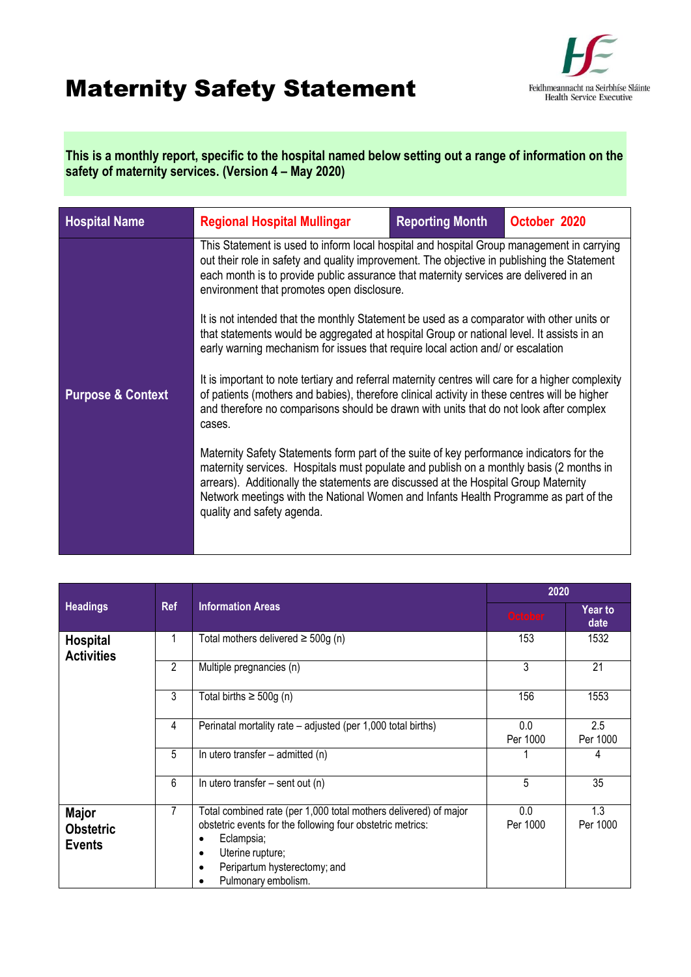## Maternity Safety Statement



**This is a monthly report, specific to the hospital named below setting out a range of information on the safety of maternity services. (Version 4 – May 2020)**

| <b>Hospital Name</b>         | <b>Regional Hospital Mullingar</b>                                                                                                                                                                                                                                                                                                                                                               | <b>Reporting Month</b> | October 2020 |  |
|------------------------------|--------------------------------------------------------------------------------------------------------------------------------------------------------------------------------------------------------------------------------------------------------------------------------------------------------------------------------------------------------------------------------------------------|------------------------|--------------|--|
|                              | This Statement is used to inform local hospital and hospital Group management in carrying<br>out their role in safety and quality improvement. The objective in publishing the Statement<br>each month is to provide public assurance that maternity services are delivered in an<br>environment that promotes open disclosure.                                                                  |                        |              |  |
|                              | It is not intended that the monthly Statement be used as a comparator with other units or<br>that statements would be aggregated at hospital Group or national level. It assists in an<br>early warning mechanism for issues that require local action and/ or escalation                                                                                                                        |                        |              |  |
| <b>Purpose &amp; Context</b> | It is important to note tertiary and referral maternity centres will care for a higher complexity<br>of patients (mothers and babies), therefore clinical activity in these centres will be higher<br>and therefore no comparisons should be drawn with units that do not look after complex<br>cases.                                                                                           |                        |              |  |
|                              | Maternity Safety Statements form part of the suite of key performance indicators for the<br>maternity services. Hospitals must populate and publish on a monthly basis (2 months in<br>arrears). Additionally the statements are discussed at the Hospital Group Maternity<br>Network meetings with the National Women and Infants Health Programme as part of the<br>quality and safety agenda. |                        |              |  |
|                              |                                                                                                                                                                                                                                                                                                                                                                                                  |                        |              |  |

|                                                   | <b>Ref</b>     | <b>Information Areas</b>                                                                                                                                                                                                                                       | 2020            |                        |
|---------------------------------------------------|----------------|----------------------------------------------------------------------------------------------------------------------------------------------------------------------------------------------------------------------------------------------------------------|-----------------|------------------------|
| <b>Headings</b>                                   |                |                                                                                                                                                                                                                                                                | <b>October</b>  | <b>Year to</b><br>date |
| <b>Hospital</b><br><b>Activities</b>              |                | Total mothers delivered $\geq$ 500g (n)                                                                                                                                                                                                                        | 153             | 1532                   |
|                                                   | $\overline{c}$ | Multiple pregnancies (n)                                                                                                                                                                                                                                       | 3               | 21                     |
|                                                   | 3              | Total births $\geq 500g$ (n)                                                                                                                                                                                                                                   | 156             | 1553                   |
|                                                   | 4              | Perinatal mortality rate – adjusted (per 1,000 total births)                                                                                                                                                                                                   | 0.0<br>Per 1000 | 2.5<br>Per 1000        |
|                                                   | 5              | In utero transfer $-$ admitted (n)                                                                                                                                                                                                                             |                 | 4                      |
|                                                   | 6              | In utero transfer $-$ sent out (n)                                                                                                                                                                                                                             | 5               | 35                     |
| <b>Major</b><br><b>Obstetric</b><br><b>Events</b> | 7              | Total combined rate (per 1,000 total mothers delivered) of major<br>obstetric events for the following four obstetric metrics:<br>Eclampsia;<br>$\bullet$<br>Uterine rupture;<br>$\bullet$<br>Peripartum hysterectomy; and<br>$\bullet$<br>Pulmonary embolism. | 0.0<br>Per 1000 | 1.3<br>Per 1000        |